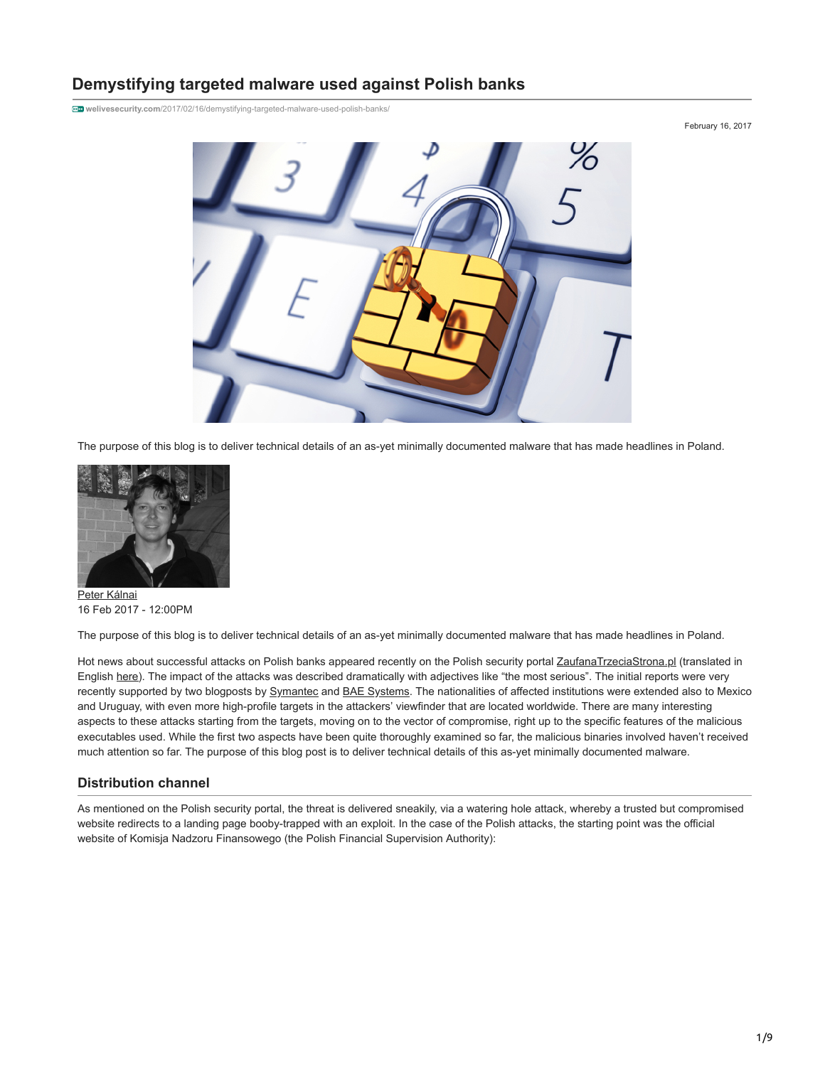# **Demystifying targeted malware used against Polish banks**

**welivesecurity.com**[/2017/02/16/demystifying-targeted-malware-used-polish-banks/](https://www.welivesecurity.com/2017/02/16/demystifying-targeted-malware-used-polish-banks/)

February 16, 2017



The purpose of this blog is to deliver technical details of an as-yet minimally documented malware that has made headlines in Poland.



[Peter Kálnai](https://www.welivesecurity.com/author/pkalnai/) 16 Feb 2017 - 12:00PM

The purpose of this blog is to deliver technical details of an as-yet minimally documented malware that has made headlines in Poland.

Hot news about successful attacks on Polish banks appeared recently on the Polish security portal [ZaufanaTrzeciaStrona.pl](https://zaufanatrzeciastrona.pl/post/wlamania-do-kilku-bankow-skutkiem-powaznego-ataku-na-polski-sektor-finansowy/) (translated in English [here\)](https://badcyber.com/several-polish-banks-hacked-information-stolen-by-unknown-attackers/). The impact of the attacks was described dramatically with adjectives like "the most serious". The initial reports were very recently supported by two blogposts by [Symantec](https://www.symantec.com/connect/blogs/attackers-target-dozens-global-banks-new-malware-0) and [BAE Systems](http://baesystemsai.blogspot.sk/2017/02/lazarus-watering-hole-attacks.html). The nationalities of affected institutions were extended also to Mexico and Uruguay, with even more high-profile targets in the attackers' viewfinder that are located worldwide. There are many interesting aspects to these attacks starting from the targets, moving on to the vector of compromise, right up to the specific features of the malicious executables used. While the first two aspects have been quite thoroughly examined so far, the malicious binaries involved haven't received much attention so far. The purpose of this blog post is to deliver technical details of this as-yet minimally documented malware.

#### **Distribution channel**

As mentioned on the Polish security portal, the threat is delivered sneakily, via a watering hole attack, whereby a trusted but compromised website redirects to a landing page booby-trapped with an exploit. In the case of the Polish attacks, the starting point was the official website of Komisja Nadzoru Finansowego (the Polish Financial Supervision Authority):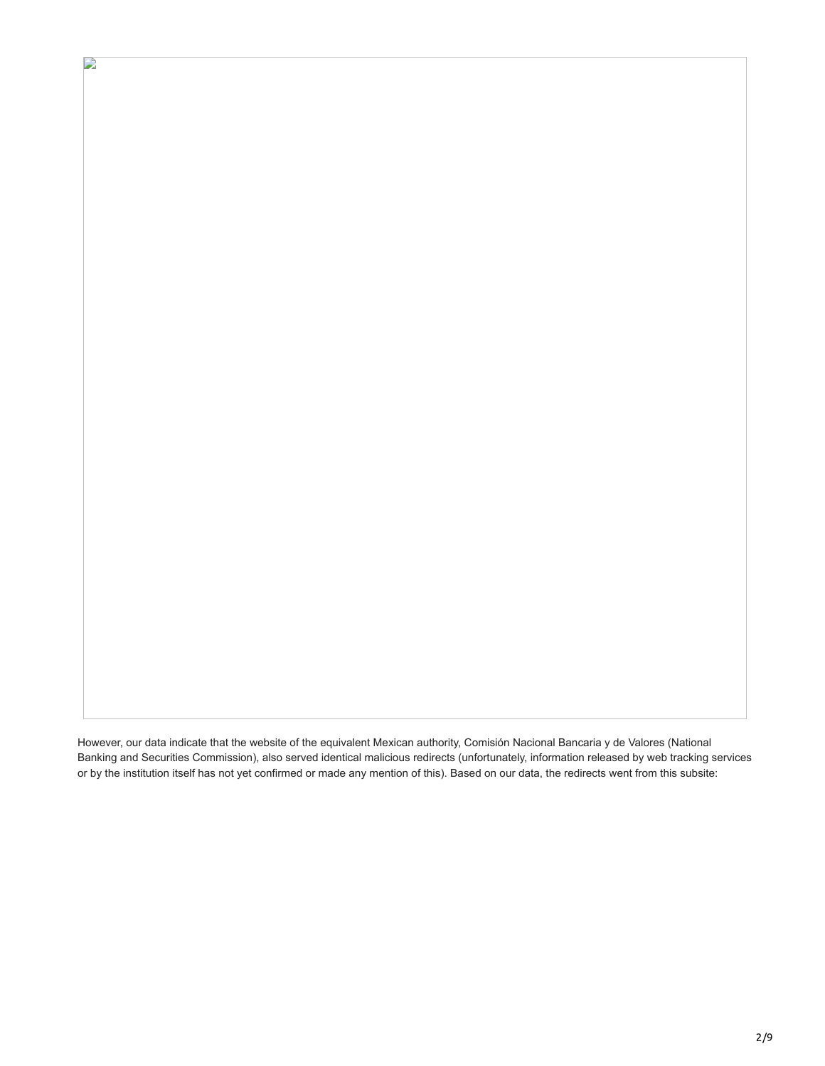However, our data indicate that the website of the equivalent Mexican authority, Comisión Nacional Bancaria y de Valores (National Banking and Securities Commission), also served identical malicious redirects (unfortunately, information released by web tracking services or by the institution itself has not yet confirmed or made any mention of this). Based on our data, the redirects went from this subsite:

 $\mathbf{L}$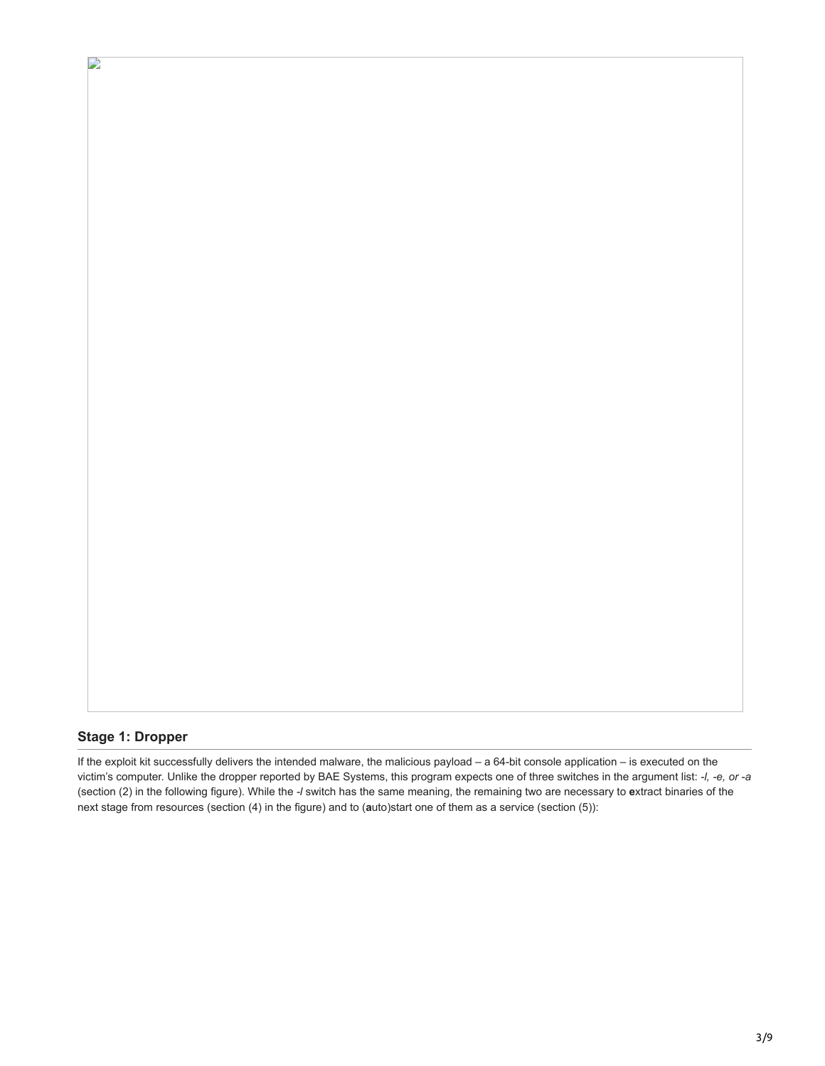# **Stage 1: Dropper**

 $\mathbf{L}$ 

If the exploit kit successfully delivers the intended malware, the malicious payload – a 64-bit console application – is executed on the victim's computer. Unlike the dropper reported by BAE Systems, this program expects one of three switches in the argument list: *-l, -e, or -a* (section (2) in the following figure). While the *-l* switch has the same meaning, the remaining two are necessary to **e**xtract binaries of the next stage from resources (section (4) in the figure) and to (**a**uto)start one of them as a service (section (5)):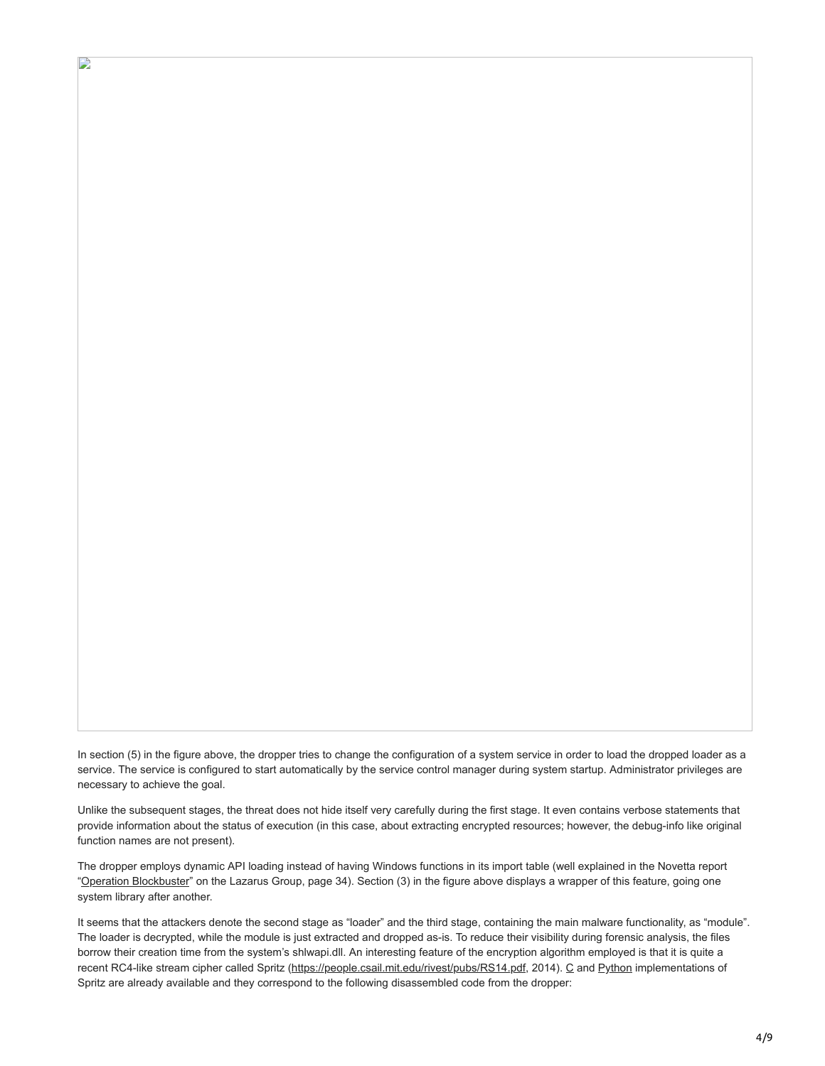In section (5) in the figure above, the dropper tries to change the configuration of a system service in order to load the dropped loader as a service. The service is configured to start automatically by the service control manager during system startup. Administrator privileges are necessary to achieve the goal.

D

Unlike the subsequent stages, the threat does not hide itself very carefully during the first stage. It even contains verbose statements that provide information about the status of execution (in this case, about extracting encrypted resources; however, the debug-info like original function names are not present).

The dropper employs dynamic API loading instead of having Windows functions in its import table (well explained in the Novetta report ["Operation Blockbuster](https://www.operationblockbuster.com/wp-content/uploads/2016/02/Operation-Blockbuster-Report.pdf#34)" on the Lazarus Group, page 34). Section (3) in the figure above displays a wrapper of this feature, going one system library after another.

It seems that the attackers denote the second stage as "loader" and the third stage, containing the main malware functionality, as "module". The loader is decrypted, while the module is just extracted and dropped as-is. To reduce their visibility during forensic analysis, the files borrow their creation time from the system's shlwapi.dll. An interesting feature of the encryption algorithm employed is that it is quite a recent RC4-like stream cipher called Spritz (<https://people.csail.mit.edu/rivest/pubs/RS14.pdf>, 2014). [C](https://github.com/jedisct1/spritz) and [Python](https://github.com/edwardcunningham/spritz) implementations of Spritz are already available and they correspond to the following disassembled code from the dropper: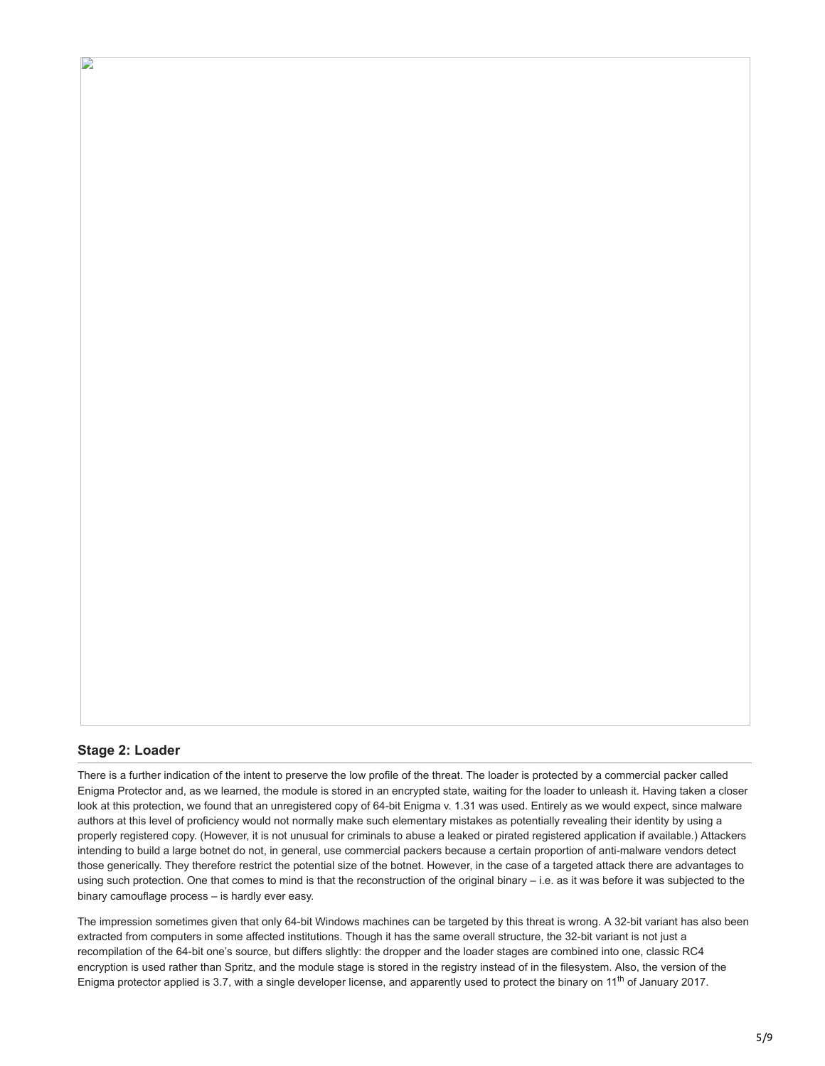#### **Stage 2: Loader**

D

There is a further indication of the intent to preserve the low profile of the threat. The loader is protected by a commercial packer called Enigma Protector and, as we learned, the module is stored in an encrypted state, waiting for the loader to unleash it. Having taken a closer look at this protection, we found that an unregistered copy of 64-bit Enigma v. 1.31 was used. Entirely as we would expect, since malware authors at this level of proficiency would not normally make such elementary mistakes as potentially revealing their identity by using a properly registered copy. (However, it is not unusual for criminals to abuse a leaked or pirated registered application if available.) Attackers intending to build a large botnet do not, in general, use commercial packers because a certain proportion of anti-malware vendors detect those generically. They therefore restrict the potential size of the botnet. However, in the case of a targeted attack there are advantages to using such protection. One that comes to mind is that the reconstruction of the original binary – i.e. as it was before it was subjected to the binary camouflage process – is hardly ever easy.

The impression sometimes given that only 64-bit Windows machines can be targeted by this threat is wrong. A 32-bit variant has also been extracted from computers in some affected institutions. Though it has the same overall structure, the 32-bit variant is not just a recompilation of the 64-bit one's source, but differs slightly: the dropper and the loader stages are combined into one, classic RC4 encryption is used rather than Spritz, and the module stage is stored in the registry instead of in the filesystem. Also, the version of the Enigma protector applied is 3.7, with a single developer license, and apparently used to protect the binary on 11<sup>th</sup> of January 2017.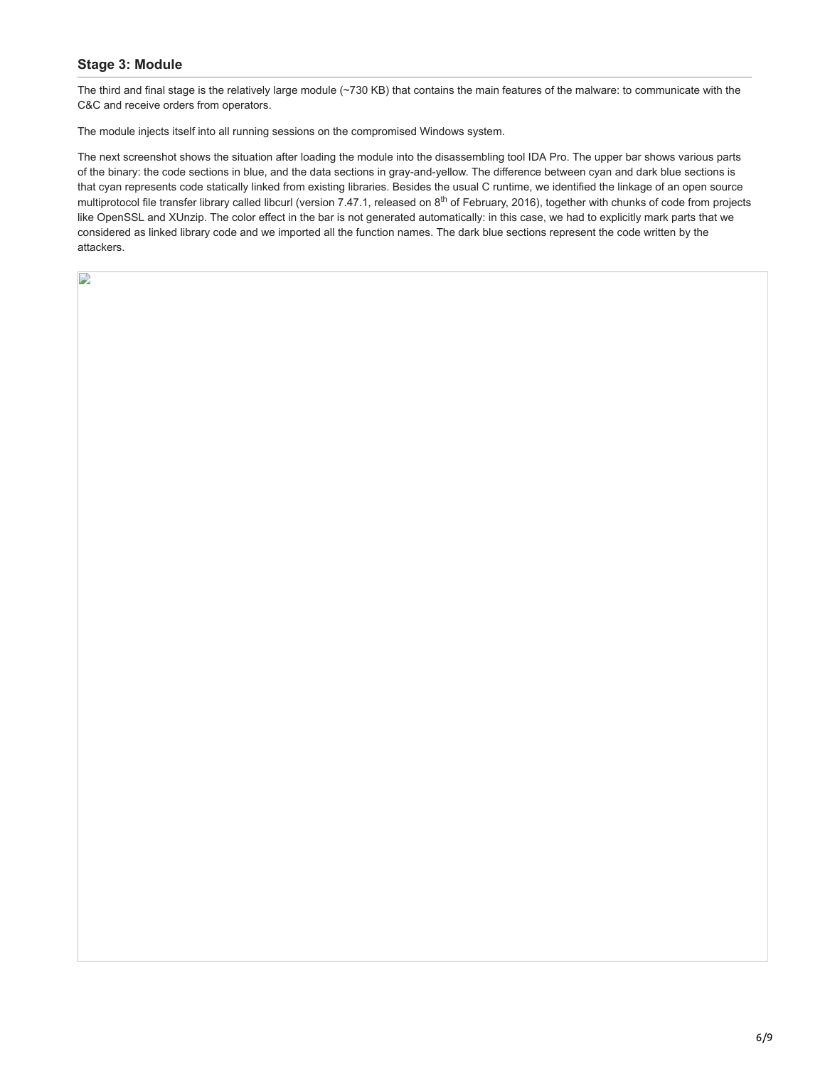# **Stage 3: Module**

 $\mathbf{D}$ 

The third and final stage is the relatively large module (~730 KB) that contains the main features of the malware: to communicate with the C&C and receive orders from operators.

The module injects itself into all running sessions on the compromised Windows system.

The next screenshot shows the situation after loading the module into the disassembling tool IDA Pro. The upper bar shows various parts of the binary: the code sections in blue, and the data sections in gray-and-yellow. The difference between cyan and dark blue sections is that cyan represents code statically linked from existing libraries. Besides the usual C runtime, we identified the linkage of an open source multiprotocol file transfer library called libcurl (version 7.47.1, released on  $8<sup>th</sup>$  of February, 2016), together with chunks of code from projects like OpenSSL and XUnzip. The color effect in the bar is not generated automatically: in this case, we had to explicitly mark parts that we considered as linked library code and we imported all the function names. The dark blue sections represent the code written by the attackers.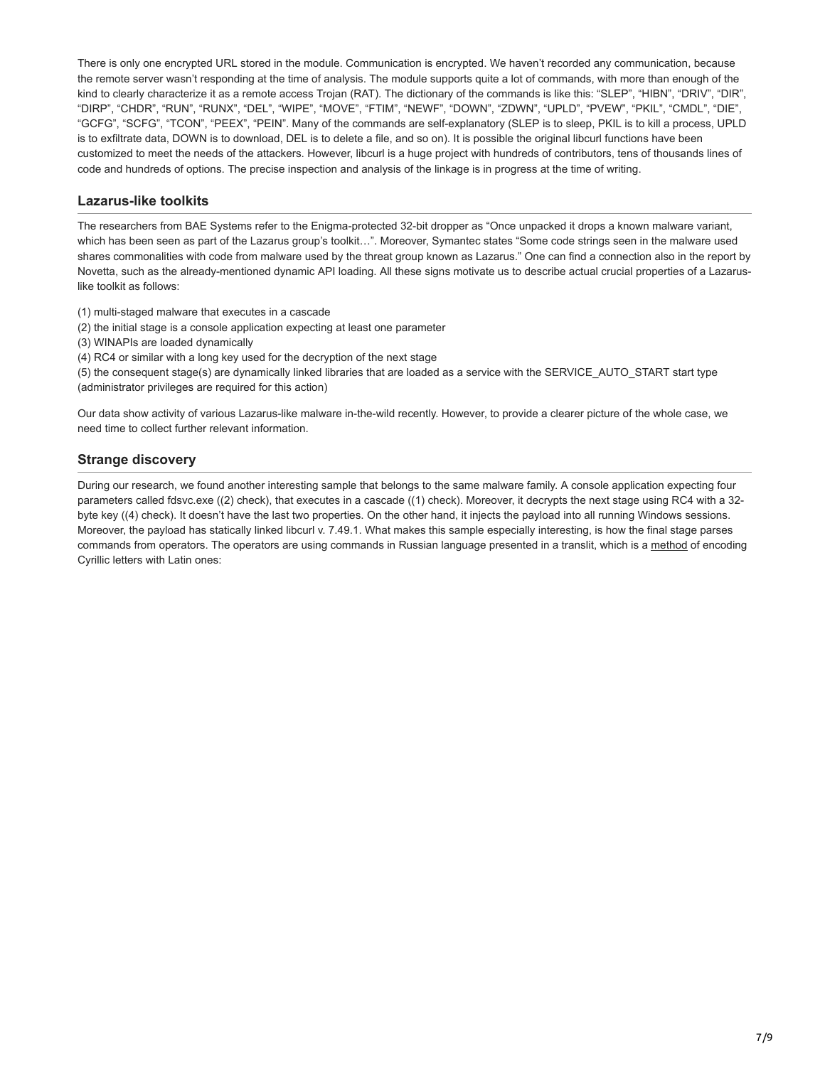There is only one encrypted URL stored in the module. Communication is encrypted. We haven't recorded any communication, because the remote server wasn't responding at the time of analysis. The module supports quite a lot of commands, with more than enough of the kind to clearly characterize it as a remote access Trojan (RAT). The dictionary of the commands is like this: "SLEP", "HIBN", "DRIV", "DIR", "DIRP", "CHDR", "RUN", "RUNX", "DEL", "WIPE", "MOVE", "FTIM", "NEWF", "DOWN", "ZDWN", "UPLD", "PVEW", "PKIL", "CMDL", "DIE", "GCFG", "SCFG", "TCON", "PEEX", "PEIN". Many of the commands are self-explanatory (SLEP is to sleep, PKIL is to kill a process, UPLD is to exfiltrate data, DOWN is to download, DEL is to delete a file, and so on). It is possible the original libcurl functions have been customized to meet the needs of the attackers. However, libcurl is a huge project with hundreds of contributors, tens of thousands lines of code and hundreds of options. The precise inspection and analysis of the linkage is in progress at the time of writing.

## **Lazarus-like toolkits**

The researchers from BAE Systems refer to the Enigma-protected 32-bit dropper as "Once unpacked it drops a known malware variant, which has been seen as part of the Lazarus group's toolkit…". Moreover, Symantec states "Some code strings seen in the malware used shares commonalities with code from malware used by the threat group known as Lazarus." One can find a connection also in the report by Novetta, such as the already-mentioned dynamic API loading. All these signs motivate us to describe actual crucial properties of a Lazaruslike toolkit as follows:

(1) multi-staged malware that executes in a cascade

- (2) the initial stage is a console application expecting at least one parameter
- (3) WINAPIs are loaded dynamically

(4) RC4 or similar with a long key used for the decryption of the next stage

(5) the consequent stage(s) are dynamically linked libraries that are loaded as a service with the SERVICE\_AUTO\_START start type (administrator privileges are required for this action)

Our data show activity of various Lazarus-like malware in-the-wild recently. However, to provide a clearer picture of the whole case, we need time to collect further relevant information.

# **Strange discovery**

During our research, we found another interesting sample that belongs to the same malware family. A console application expecting four parameters called fdsvc.exe ((2) check), that executes in a cascade ((1) check). Moreover, it decrypts the next stage using RC4 with a 32 byte key ((4) check). It doesn't have the last two properties. On the other hand, it injects the payload into all running Windows sessions. Moreover, the payload has statically linked libcurl v. 7.49.1. What makes this sample especially interesting, is how the final stage parses commands from operators. The operators are using commands in Russian language presented in a translit, which is a [method](https://en.wikipedia.org/wiki/Translit) of encoding Cyrillic letters with Latin ones: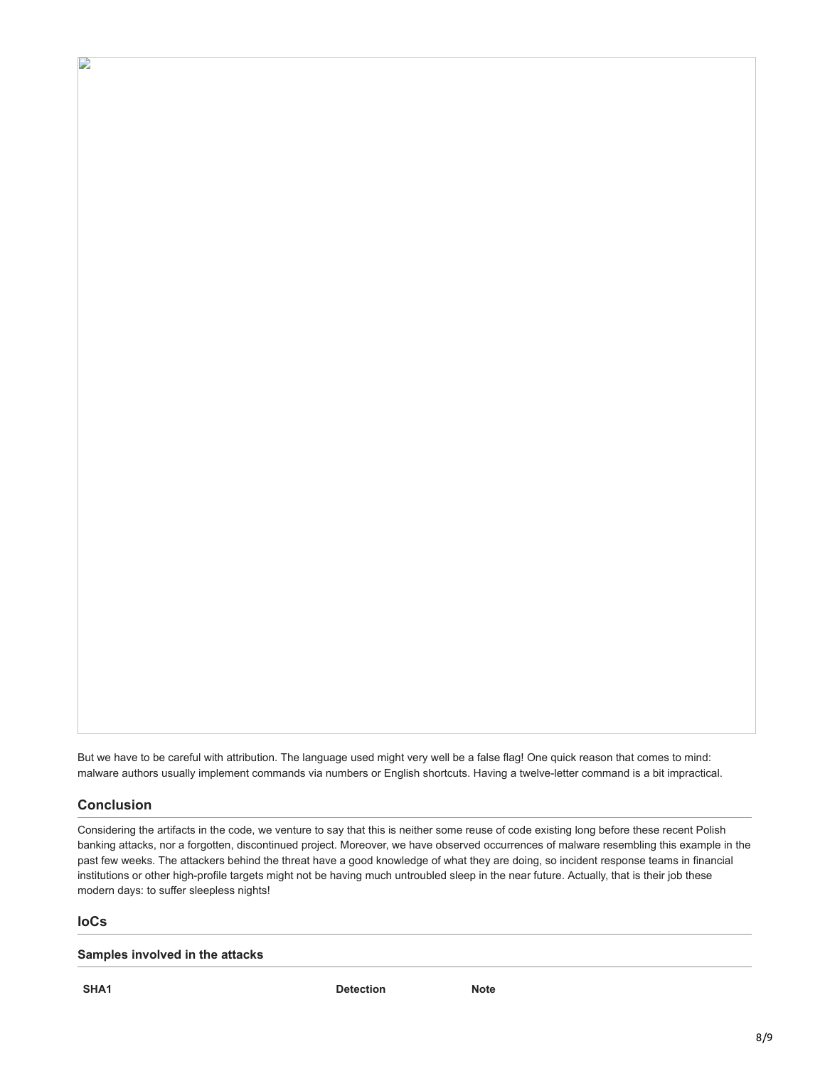But we have to be careful with attribution. The language used might very well be a false flag! One quick reason that comes to mind: malware authors usually implement commands via numbers or English shortcuts. Having a twelve-letter command is a bit impractical.

## **Conclusion**

D

Considering the artifacts in the code, we venture to say that this is neither some reuse of code existing long before these recent Polish banking attacks, nor a forgotten, discontinued project. Moreover, we have observed occurrences of malware resembling this example in the past few weeks. The attackers behind the threat have a good knowledge of what they are doing, so incident response teams in financial institutions or other high-profile targets might not be having much untroubled sleep in the near future. Actually, that is their job these modern days: to suffer sleepless nights!

#### **IoCs**

#### **Samples involved in the attacks**